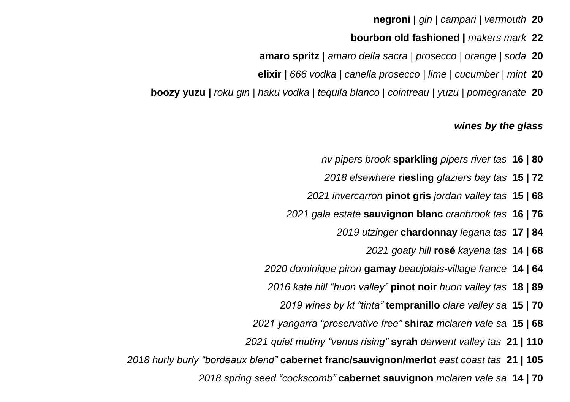**negroni |** *gin | campari | vermouth* **20**

- **bourbon old fashioned |** *makers mark* **22**
- **amaro spritz |** *amaro della sacra | prosecco | orange | soda* **20**
- **elixir |** *666 vodka | canella prosecco | lime | cucumber | mint* **20**
- **boozy yuzu |** *roku gin | haku vodka | tequila blanco | cointreau | yuzu | pomegranate* **20**

#### *wines by the glass*

- *nv pipers brook* **sparkling** *pipers river tas* **16 | 80**
- *2018 elsewhere* **riesling** *glaziers bay tas* **15 | 72**
- *2021 invercarron* **pinot gris** *jordan valley tas* **15 | 68**
- *2021 gala estate* **sauvignon blanc** *cranbrook tas* **16 | 76**
	- *2019 utzinger* **chardonnay** *legana tas* **17 | 84**
		- *2021 goaty hill* **rosé** *kayena tas* **14 | 68**
- *2020 dominique piron* **gamay** *beaujolais-village france* **14 | 64**
- *2016 kate hill "huon valley"* **pinot noir** *huon valley tas* **18 | 89**
	- *2019 wines by kt "tinta"* **tempranillo** *clare valley sa* **15 | 70**
- *2021 yangarra "preservative free"* **shiraz** *mclaren vale sa* **15 | 68**
- *2021 quiet mutiny "venus rising"* **syrah** *derwent valley tas* **21 | 110**
- *2018 hurly burly "bordeaux blend"* **cabernet franc/sauvignon/merlot** *east coast tas* **21 | 105**
	- *2018 spring seed "cockscomb"* **cabernet sauvignon** *mclaren vale sa* **14 | 70**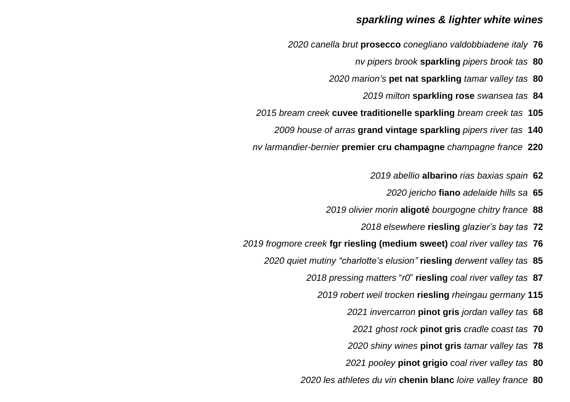### *sparkling wines & lighter white wines*

- *2020 canella brut* **prosecco** *conegliano valdobbiadene italy* **76**
	- *nv pipers brook* **sparkling** *pipers brook tas* **80**
	- *2020 marion's* **pet nat sparkling** *tamar valley tas* **80**
		- *2019 milton* **sparkling rose** *swansea tas* **84**
- *2015 bream creek* **cuvee traditionelle sparkling** *bream creek tas* **105**
	- *2009 house of arras* **grand vintage sparkling** *pipers river tas* **140**
- *nv larmandier-bernier* **premier cru champagne** *champagne france* **220**
	- *2019 abellio* **albarino** *rias baxias spain* **62**
		- *2020 jericho* **fiano** *adelaide hills sa* **65**
	- *2019 olivier morin* **aligoté** *bourgogne chitry france* **88**
		- *2018 elsewhere* **riesling** *glazier's bay tas* **72**
- *2019 frogmore creek* **fgr riesling (medium sweet)** *coal river valley tas* **76**
	- *2020 quiet mutiny "charlotte's elusion"* **riesling** *derwent valley tas* **85**
		- *2018 pressing matters* "*r0*" **riesling** *coal river valley tas* **87**
			- *2019 robert weil trocken* **riesling** *rheingau germany* **115**
				- *2021 invercarron* **pinot gris** *jordan valley tas* **68**
				- *2021 ghost rock* **pinot gris** *cradle coast tas* **70**
				- *2020 shiny wines* **pinot gris** *tamar valley tas* **78**
				- *2021 pooley* **pinot grigio** *coal river valley tas* **80**
		- *2020 les athletes du vin* **chenin blanc** *loire valley france* **80**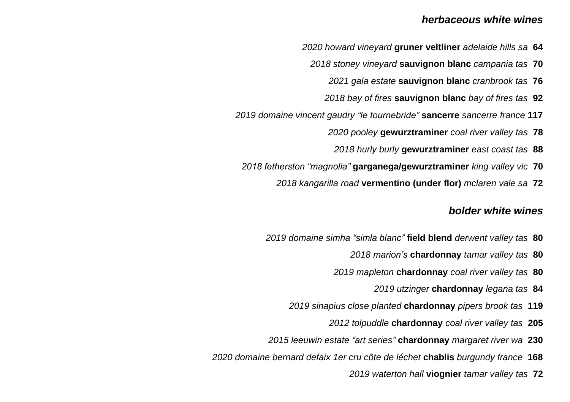### *herbaceous white wines*

- *2020 howard vineyard* **gruner veltliner** *adelaide hills sa* **64**
	- *2018 stoney vineyard* **sauvignon blanc** *campania tas* **70** 
		- *2021 gala estate* **sauvignon blanc** *cranbrook tas* **76**
		- *2018 bay of fires* **sauvignon blanc** *bay of fires tas* **92**
- *2019 domaine vincent gaudry "le tournebride"* **sancerre** *sancerre france* **117**
	- *2020 pooley* **gewurztraminer** *coal river valley tas* **78**
		- *2018 hurly burly* **gewurztraminer** *east coast tas* **88**
	- *2018 fetherston "magnolia"* **garganega/gewurztraminer** *king valley vic* **70**
		- *2018 kangarilla road* **vermentino (under flor)** *mclaren vale sa* **72**

## *bolder white wines*

- *2019 domaine simha "simla blanc"* **field blend** *derwent valley tas* **80**
	- *2018 marion's* **chardonnay** *tamar valley tas* **80**
	- *2019 mapleton* **chardonnay** *coal river valley tas* **80**
		- *2019 utzinger* **chardonnay** *legana tas* **84**
	- *2019 sinapius close planted* **chardonnay** *pipers brook tas* **119**
		- *2012 tolpuddle* **chardonnay** *coal river valley tas* **205**
- *2015 leeuwin estate "art series"* **chardonnay** *margaret river wa* **230**
- *2020 domaine bernard defaix 1er cru côte de léchet* **chablis** *burgundy france* **168**
	- *2019 waterton hall* **viognier** *tamar valley tas* **72**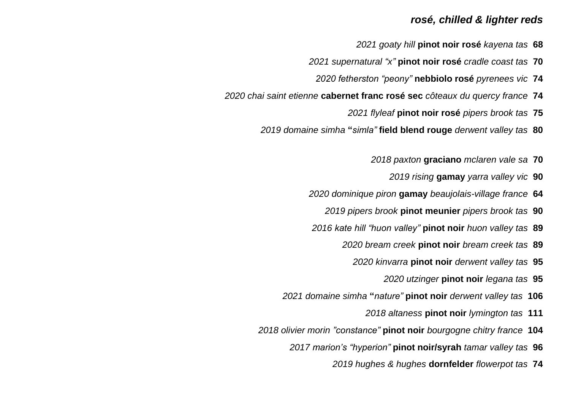## *rosé, chilled & lighter reds*

- *2021 goaty hill* **pinot noir rosé** *kayena tas* **68**
- *2021 supernatural "x"* **pinot noir rosé** *cradle coast tas* **70**
	- *2020 fetherston "peony"* **nebbiolo rosé** *pyrenees vic* **74**
- *2020 chai saint etienne* **cabernet franc rosé sec** *côteaux du quercy france* **74**
	- *2021 flyleaf* **pinot noir rosé** *pipers brook tas* **75**
	- *2019 domaine simha* **"***simla"* **field blend rouge** *derwent valley tas* **80**
		- *2018 paxton* **graciano** *mclaren vale sa* **70**
			- *2019 rising* **gamay** *yarra valley vic* **90**
		- *2020 dominique piron* **gamay** *beaujolais-village france* **64**
			- *2019 pipers brook* **pinot meunier** *pipers brook tas* **90**
		- *2016 kate hill "huon valley"* **pinot noir** *huon valley tas* **89**
			- *2020 bream creek* **pinot noir** *bream creek tas* **89**
				- *2020 kinvarra* **pinot noir** *derwent valley tas* **95**
					- *2020 utzinger* **pinot noir** *legana tas* **95**
		- *2021 domaine simha* **"***nature"* **pinot noir** *derwent valley tas* **106**
			- *2018 altaness* **pinot noir** *lymington tas* **111**
	- *2018 olivier morin "constance"* **pinot noir** *bourgogne chitry france* **104**
		- *2017 marion's "hyperion"* **pinot noir/syrah** *tamar valley tas* **96**
			- *2019 hughes & hughes* **dornfelder** *flowerpot tas* **74**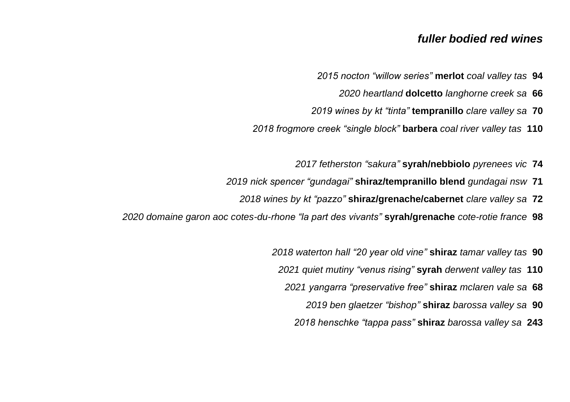## *fuller bodied red wines*

- *2015 nocton "willow series"* **merlot** *coal valley tas* **94**
	- *2020 heartland* **dolcetto** *langhorne creek sa* **66**
- *2019 wines by kt "tinta"* **tempranillo** *clare valley sa* **70**
- *2018 frogmore creek "single block"* **barbera** *coal river valley tas* **110**
	- *2017 fetherston "sakura"* **syrah/nebbiolo** *pyrenees vic* **74**
- *2019 nick spencer "gundagai"* **shiraz/tempranillo blend** *gundagai nsw* **71**
	- *2018 wines by kt "pazzo"* **shiraz/grenache/cabernet** *clare valley sa* **72**
- *2020 domaine garon aoc cotes-du-rhone "la part des vivants"* **syrah/grenache** *cote-rotie france* **98**
	- *2018 waterton hall "20 year old vine"* **shiraz** *tamar valley tas* **90** *2021 quiet mutiny "venus rising"* **syrah** *derwent valley tas* **110** *2021 yangarra "preservative free"* **shiraz** *mclaren vale sa* **68** *2019 ben glaetzer "bishop"* **shiraz** *barossa valley sa* **90** *2018 henschke "tappa pass"* **shiraz** *barossa valley sa* **243**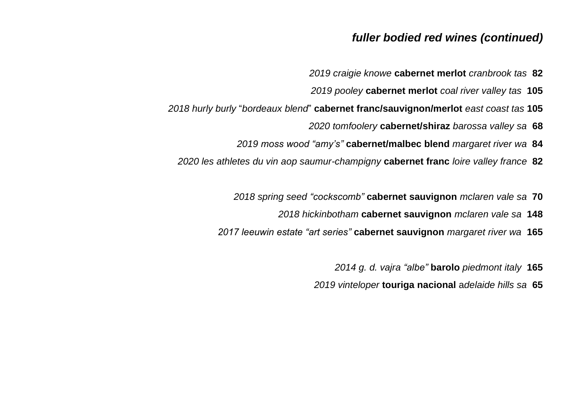# *fuller bodied red wines (continued)*

- *2019 craigie knowe* **cabernet merlot** *cranbrook tas* **82**
- *2019 pooley* **cabernet merlot** *coal river valley tas* **105**
- *2018 hurly burly* "*bordeaux blend*" **cabernet franc/sauvignon/merlot** *east coast tas* **105**
	- *2020 tomfoolery* **cabernet/shiraz** *barossa valley sa* **68**
	- *2019 moss wood "amy's"* **cabernet/malbec blend** *margaret river wa* **84**
	- *2020 les athletes du vin aop saumur-champigny* **cabernet franc** *loire valley france* **82**
		- *2018 spring seed "cockscomb"* **cabernet sauvignon** *mclaren vale sa* **70**
			- *2018 hickinbotham* **cabernet sauvignon** *mclaren vale sa* **148**
		- *2017 leeuwin estate "art series"* **cabernet sauvignon** *margaret river wa* **165**
			- *2014 g. d. vajra "albe"* **barolo** *piedmont italy* **165**
			- *2019 vinteloper* **touriga nacional** a*delaide hills sa* **65**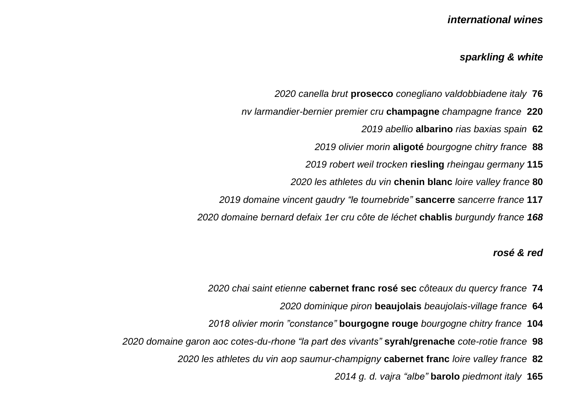## *international wines*

#### *sparkling & white*

- *2020 canella brut* **prosecco** *conegliano valdobbiadene italy* **76**
- *nv larmandier-bernier premier cru* **champagne** *champagne france* **220**
	- *2019 abellio* **albarino** *rias baxias spain* **62**
	- *2019 olivier morin* **aligoté** *bourgogne chitry france* **88**
	- *2019 robert weil trocken* **riesling** *rheingau germany* **115**
	- *2020 les athletes du vin* **chenin blanc** *loire valley france* **80**
- *2019 domaine vincent gaudry "le tournebride"* **sancerre** *sancerre france* **117**
- *2020 domaine bernard defaix 1er cru côte de léchet* **chablis** *burgundy france 168*

### *rosé & red*

- *2020 chai saint etienne* **cabernet franc rosé sec** *côteaux du quercy france* **74**
	- *2020 dominique piron* **beaujolais** *beaujolais-village france* **64**
- *2018 olivier morin "constance"* **bourgogne rouge** *bourgogne chitry france* **104**
- *2020 domaine garon aoc cotes-du-rhone "la part des vivants"* **syrah/grenache** *cote-rotie france* **98**
	- *2020 les athletes du vin aop saumur-champigny* **cabernet franc** *loire valley france* **82**
		- *2014 g. d. vajra "albe"* **barolo** *piedmont italy* **165**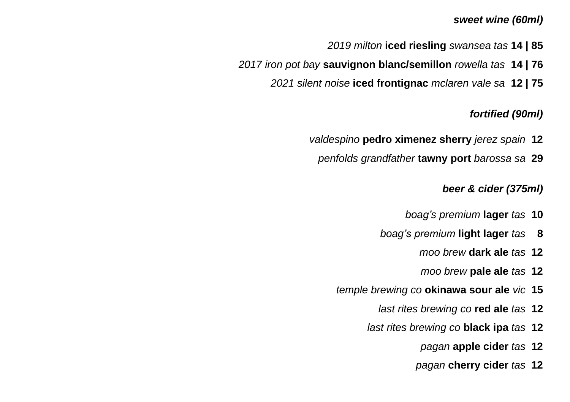## *sweet wine (60ml)*

- *2019 milton* **iced riesling** *swansea tas* **14 | 85**
- *2017 iron pot bay* **sauvignon blanc/semillon** *rowella tas* **14 | 76**
	- *2021 silent noise* **iced frontignac** *mclaren vale sa* **12 | 75**

## *fortified (90ml)*

- *valdespino* **pedro ximenez sherry** *jerez spain* **12**
	- *penfolds grandfather* **tawny port** *barossa sa* **29**

## *beer & cider (375ml)*

- *boag's premium* **lager** *tas* **10**
- *boag's premium* **light lager** *tas* **8**
	- *moo brew* **dark ale** *tas* **12**
	- *moo brew* **pale ale** *tas* **12**
- *temple brewing co* **okinawa sour ale** *vic* **15**
	- *last rites brewing co* **red ale** *tas* **12**
	- *last rites brewing co* **black ipa** *tas* **12**
		- *pagan* **apple cider** *tas* **12**
		- *pagan* **cherry cider** *tas* **12**